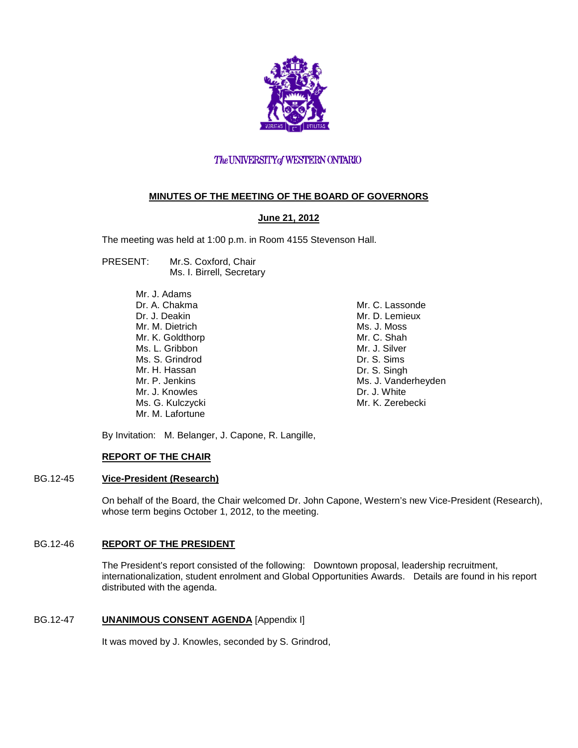

# The UNIVERSITY of WESTERN ONTARIO

# **MINUTES OF THE MEETING OF THE BOARD OF GOVERNORS**

# **June 21, 2012**

The meeting was held at 1:00 p.m. in Room 4155 Stevenson Hall.

PRESENT: Mr.S. Coxford, Chair Ms. I. Birrell, Secretary

> Mr. J. Adams Dr. A. Chakma Dr. J. Deakin Mr. M. Dietrich Mr. K. Goldthorp Ms. L. Gribbon Ms. S. Grindrod Mr. H. Hassan Mr. P. Jenkins Mr. J. Knowles Ms. G. Kulczycki Mr. M. Lafortune

Mr. C. Lassonde Mr. D. Lemieux Ms. J. Moss Mr. C. Shah Mr. J. Silver Dr. S. Sims Dr. S. Singh Ms. J. Vanderheyden Dr. J. White Mr. K. Zerebecki

By Invitation: M. Belanger, J. Capone, R. Langille,

# **REPORT OF THE CHAIR**

# BG.12-45 **Vice-President (Research)**

On behalf of the Board, the Chair welcomed Dr. John Capone, Western's new Vice-President (Research), whose term begins October 1, 2012, to the meeting.

## BG.12-46 **REPORT OF THE PRESIDENT**

The President's report consisted of the following: Downtown proposal, leadership recruitment, internationalization, student enrolment and Global Opportunities Awards. Details are found in his report distributed with the agenda.

# BG.12-47 **UNANIMOUS CONSENT AGENDA** [Appendix I]

It was moved by J. Knowles, seconded by S. Grindrod,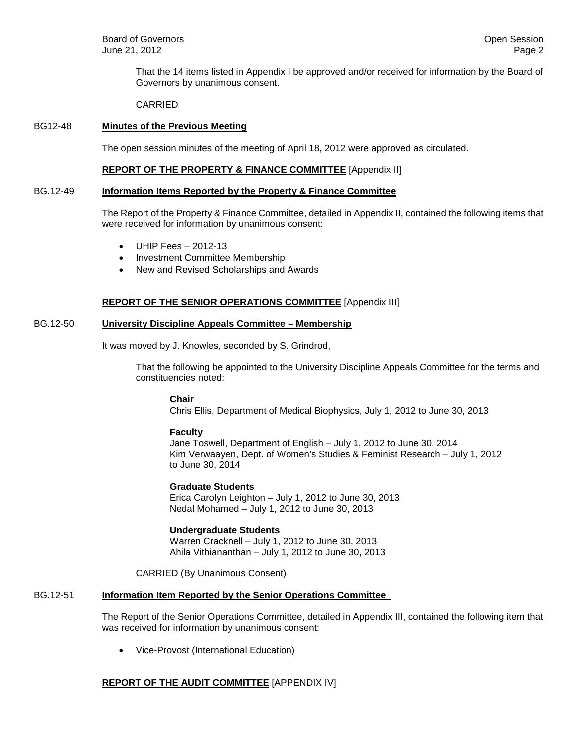That the 14 items listed in Appendix I be approved and/or received for information by the Board of Governors by unanimous consent.

CARRIED

#### BG12-48 **Minutes of the Previous Meeting**

The open session minutes of the meeting of April 18, 2012 were approved as circulated.

#### **REPORT OF THE PROPERTY & FINANCE COMMITTEE** [Appendix II]

#### BG.12-49 **Information Items Reported by the Property & Finance Committee**

The Report of the Property & Finance Committee, detailed in Appendix II, contained the following items that were received for information by unanimous consent:

- UHIP Fees 2012-13
- Investment Committee Membership
- New and Revised Scholarships and Awards

#### **REPORT OF THE SENIOR OPERATIONS COMMITTEE** [Appendix III]

#### BG.12-50 **University Discipline Appeals Committee – Membership**

It was moved by J. Knowles, seconded by S. Grindrod,

That the following be appointed to the University Discipline Appeals Committee for the terms and constituencies noted:

#### **Chair**

Chris Ellis, Department of Medical Biophysics, July 1, 2012 to June 30, 2013

#### **Faculty**

Jane Toswell, Department of English – July 1, 2012 to June 30, 2014 Kim Verwaayen, Dept. of Women's Studies & Feminist Research – July 1, 2012 to June 30, 2014

**Graduate Students**

Erica Carolyn Leighton – July 1, 2012 to June 30, 2013 Nedal Mohamed – July 1, 2012 to June 30, 2013

## **Undergraduate Students**

Warren Cracknell – July 1, 2012 to June 30, 2013 Ahila Vithiananthan – July 1, 2012 to June 30, 2013

CARRIED (By Unanimous Consent)

## BG.12-51 **Information Item Reported by the Senior Operations Committee**

The Report of the Senior Operations Committee, detailed in Appendix III, contained the following item that was received for information by unanimous consent:

• Vice-Provost (International Education)

# **REPORT OF THE AUDIT COMMITTEE** [APPENDIX IV]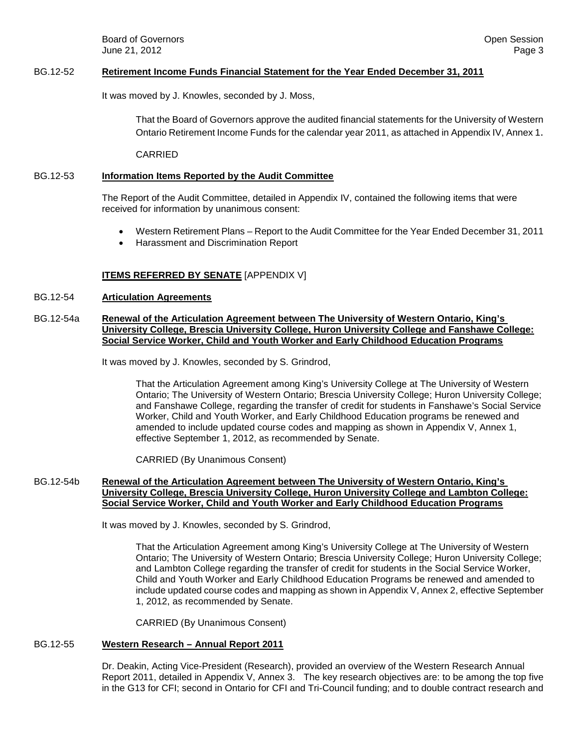**Board of Governors Contract Contract Contract Contract Contract Contract Contract Contract Contract Contract Contract Contract Contract Contract Contract Contract Contract Contract Contract Contract Contract Contract Co** June 21, 2012 Page 3

#### BG.12-52 **Retirement Income Funds Financial Statement for the Year Ended December 31, 2011**

It was moved by J. Knowles, seconded by J. Moss,

That the Board of Governors approve the audited financial statements for the University of Western Ontario Retirement Income Funds for the calendar year 2011, as attached in Appendix IV[, Annex 1.](http://www.uwo.ca/univsec/board/minutes/2012/r1206aud_ann1.pdf)

CARRIED

## BG.12-53 **Information Items Reported by the Audit Committee**

The Report of the Audit Committee, detailed in Appendix IV, contained the following items that were received for information by unanimous consent:

- Western Retirement Plans Report to the Audit Committee for the Year Ended December 31, 2011
- Harassment and Discrimination Report

# **ITEMS REFERRED BY SENATE** [APPENDIX V]

## BG.12-54 **Articulation Agreements**

## BG.12-54a **Renewal of the Articulation Agreement between The University of Western Ontario, King's University College, Brescia University College, Huron University College and Fanshawe College: Social Service Worker, Child and Youth Worker and Early Childhood Education Programs**

It was moved by J. Knowles, seconded by S. Grindrod,

That the Articulation Agreement among King's University College at The University of Western Ontario; The University of Western Ontario; Brescia University College; Huron University College; and Fanshawe College, regarding the transfer of credit for students in Fanshawe's Social Service Worker, Child and Youth Worker, and Early Childhood Education programs be renewed and amended to include updated course codes and mapping as shown in Appendix V, [Annex 1,](http://www.uwo.ca/univsec/board/minutes/2012/r1206sen_ann1.pdf) effective September 1, 2012, as recommended by Senate.

CARRIED (By Unanimous Consent)

## BG.12-54b **Renewal of the Articulation Agreement between The University of Western Ontario, King's University College, Brescia University College, Huron University College and Lambton College: Social Service Worker, Child and Youth Worker and Early Childhood Education Programs**

It was moved by J. Knowles, seconded by S. Grindrod,

That the Articulation Agreement among King's University College at The University of Western Ontario; The University of Western Ontario; Brescia University College; Huron University College; and Lambton College regarding the transfer of credit for students in the Social Service Worker, Child and Youth Worker and Early Childhood Education Programs be renewed and amended to include updated course codes and mapping as shown in Appendix V[, Annex 2,](http://www.uwo.ca/univsec/board/minutes/2012/r1206sen_ann2.pdf) effective September 1, 2012, as recommended by Senate.

CARRIED (By Unanimous Consent)

## BG.12-55 **Western Research – Annual Report 2011**

Dr. Deakin, Acting Vice-President (Research), provided an overview of the Western Research Annual Report 2011, detailed in Appendix V, Annex 3. The key research objectives are: to be among the top five in the G13 for CFI; second in Ontario for CFI and Tri-Council funding; and to double contract research and